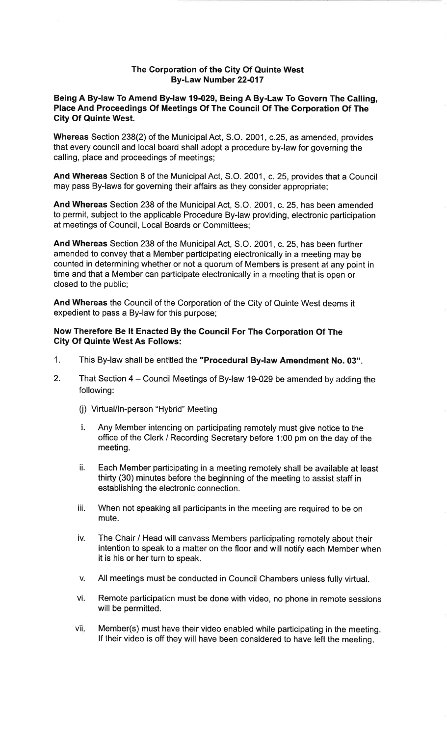## The Corporation of the City Of Quinte WestBy-Law Number 22-017

## Being A By-law To Amend By-law 19-029, Being A By-Law To Govern The Galling,Place And Proceedings Of Meetings Of The Council Of The Gorporation Of TheGity Of Quinte West.

Whereas Section 238(2) of the Municipal Act, S.O. 2001, c.25, as amended, provides that every council and local board shall adopt a procedure by-law for governing thecalling, place and proceedings of meetings;

And Whereas Section 8 of the Municipal Act, S.O. 2001, c.25, provides that a Councilmay pass By-laws for governing their affairs as they consider appropriate;

And Whereas Section 238 of the Municipal Act, S.O. 2001, c. 25, has been amended to permit, subject to the applicable Procedure By-law providing, electronic participationat meetings of Council, Local Boards or Committees;

And Whereas Section 238 of the Municipal Act, S.O. 2001, c. 25, has been further amended to convey that a Member participating electronically in a meeting may be counted in determining whether or not a quorum of Members is present at any point intime and that a Member can participate electronically in a meeting that is open orclosed to the public;

And Whereas the Council of the Corporation of the City of Quinte West deems itexpedient to pass a By-law for this purpose;

## Now Therefore Be lt Enacted By the Council For The Gorporation Of The**City Of Quinte West As Follows:**

- 1. This By-law shall be entitled the "Procedural By-law Amendment No. 03".
- 2. That Section 4 Council Meetings of By-law 19-029 be amended by adding the following:
	- (j) Virtual/In-person "Hybrid" Meeting
	- i. Any Member intending on participating remotely must give notice to the office of the Clerk / Recording Secretary before 1:00 pm on the day of themeeting.
	- il Each Member participating in a meeting remotely shall be available at leastthirty (30) minutes before the beginning of the meeting to assist staff inestablishing the electronic connection.
	- iii. When not speaking all participants in the meeting are required to be onmute.
	- The Chair / Head will canvass Members participating remotely about their intention to speak to a matter on the floor and will notify each Member whenit is his or her turn to speak.iv.
	- VAll meetings must be conducted in Council Chambers unless fully virtual.
	- Remote participation must be done with video, no phone in remote sessionswill be permitted.vi:
	- Member(s) must have their video enabled while participating in the meeting.lf their video is off they will have been considered to have left the meeting.vii.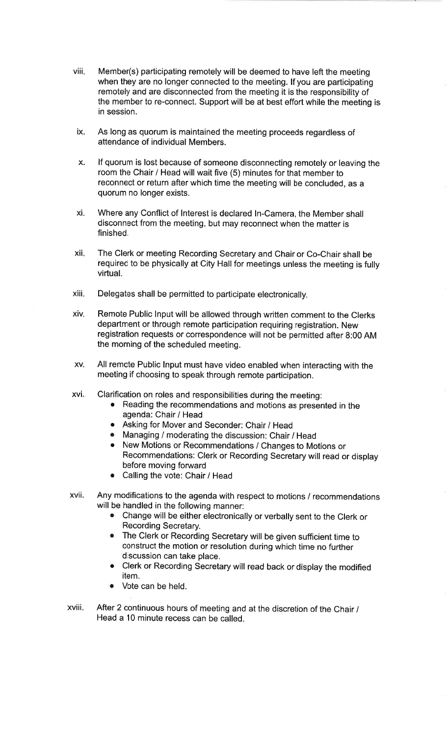- viii. Member(s) participating remotely will be deemed to have left the meeting when they are no longer connected to the meeting. lf you are participating remotely and are disconnected from the meeting it is the responsibility of the member to re-connect. Support will be at best effort while the meeting isin session.
- As long as quorum is maintained the meeting proceeds regardless ofattendance of individual Members.ix.
- lf quorum is lost because of someone disconnecting remotely or leaving theroom the Chair / Head will wait five (5) minutes for that member to reconnect or return after which time the meeting will be concluded, as aquorum no longer exists.X.
- Where any Conflict of Interest is declared ln-Camera, the Member shalldisconnect from the meeting, but may reconnect when the matter isfinished.xi.
- xil The clerk or meeting Recording secretary and chair or co-chair shall berequired to be physically at City Hall for meetings unless the meeting is fully virtual.
- xiii. Delegates shall be permitted to participate electronically.
- Remote Public lnput will be allowed through written comment to the Clerksdepartment or through remote participation requiring registration. New registration requests or correspondence will not be permitted after 8:00 AMthe morning of the scheduled meeting.xiv.
- All remote Public lnput must have video enabled when interacting with themeeting if choosing to speak through remote participation.XV.
- Clarification on roles and responsibilities during the meeting:xvi
	- . Reading the recommendations and motions as presented in theagenda: Chair / Head
	- **Asking for Mover and Seconder: Chair / Head**
	- o Managing / moderating the discussion: Chair / Head
	- . New Motions or Recommendations / Changes to Motions orRecommendations: Clerk or Recording Secretary will read or display before moving forward
	- . Calling the vote: Chair / Head
- XVII Any modifications to the agenda with respect to motions / recommendationswill be handled in the following manner:
	- **E.** Change will be either electronically or verbally sent to the Clerk or Recording Secretary.
	- o The clerk or Recording secretary will be given sufficient time toconstruct the motion or resolution during which time no furtherdiscussion can take place.
	- **.** Clerk or Recording Secretary will read back or display the modified item.
	- Vote can be held.
- xviii. After 2 continuous hours of meeting and at the discretion of the Chair /Head a 10 minute recess can be called.